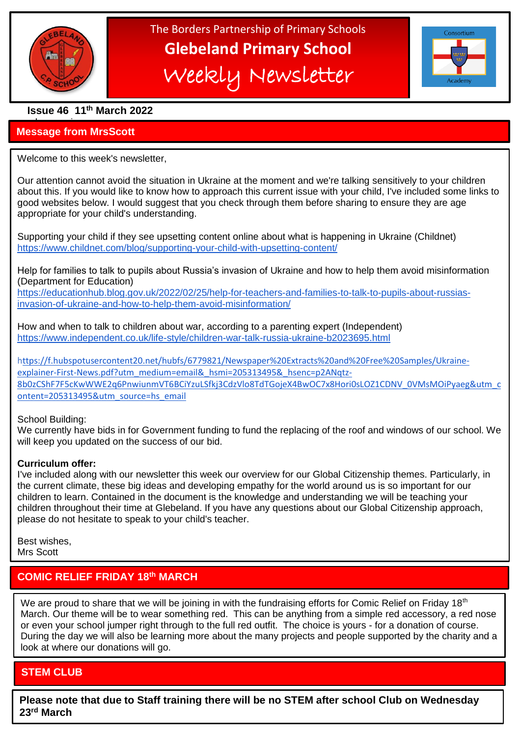

֦

The Borders Partnership of Primary Schools **Glebeland Primary School** Weekly Newsletter



**Issue 46 11th March 2022**

### a bumper issues in the second second in the second second second in the second second second in the second second second second second second second second second second second second second second second second second sec **Message from MrsScott**

Welcome to this week's newsletter,

Our attention cannot avoid the situation in Ukraine at the moment and we're talking sensitively to your children about this. If you would like to know how to approach this current issue with your child, I've included some links to good websites below. I would suggest that you check through them before sharing to ensure they are age appropriate for your child's understanding.

Supporting your child if they see upsetting content online about what is happening in Ukraine (Childnet) [https://www.childnet.com/blog/supporting-your-child-with-upsetting-content/](https://email.kjbm.safeguardinginschools.co.uk/c/eJyFUM1uhCAQfhq5NBpAYd0DhzZtk577AIafUdlVIIA1vn1xs4femkwyk5lv8v3AKu0y5COA-DjHt-il0TJlBI-LNYKSru8J4QSjWRClMMOSX3Hb8pEq3PcceEvwhXNuiELJZnh-XRjBPaNoEXPOIVXta0U_S-373ujZLsZBbrRfy0otfiotbSH4mK2b6sNvsX6g6t3mud5Cgvy4aO8yuFzgaIWU5ARDAmcgDsYXzU7cb2ptkhxh2mQ05cW6pGfvl1TYmu3-tGZgsT8Qj1MtK376jvGuRVZQTM_qMSeM8IayUQHWnSFEmwuGqsP_MkQRonXaBrkUeFGcTlvbKrU0sB6NjxPK4rtk9fL1XtH2T1oyhMHJFcRd3qSydco-whiL6VSH6M2ms_UOGWE6dlX4Fz8Ol6k)

Help for families to talk to pupils about Russia's invasion of Ukraine and how to help them avoid misinformation (Department for Education)

[https://educationhub.blog.gov.uk/2022/02/25/help-for-teachers-and-families-to-talk-to-pupils-about-russias](https://email.kjbm.safeguardinginschools.co.uk/c/eJyFUc3O3CAMfJrNpSIibNhNDhxatZV67gOsDDiJv_AnIFvt25esvkNvlSzb0mAPnkEP5B71lVD9ONtvOYI1UGqHb4SsEsM4TcNwG3i3qWWaUNvZmPtorbjrWaNe5G2Z-SRGlHNXqOLn1F0OfJKic2qrNZXL9etF_GyB9jBQKYbt0L12ce3X-OyPvUGCC9EKP5OQLW3oEltiZhXBbJgLg2DZAp4cYWE1sgpuP2s6ErkG63hUlo9SCAqj8ITSmFhc2LFnoIDvBVv8c868t9cNPYNnJMs8FQqNzb-_1-g7j6XAio-CwWJ-2NhUCWr_0L4vsOB6QLYUVgrFbDG60pvYLvkUz6KjJ-bXqYec-XUa5W28dqTOM1tM_DbI4dYLuWjkZrTDYOyd42Xk_2XIKmUKhhK49tzEUGKudHgwYNG_-pjXrqrfzY0vv75fxPUfPyClRwCPaocP0MRKjRmXHEMtLOXY3Dmv76yyo5w1_wuvKrsH)[invasion-of-ukraine-and-how-to-help-them-avoid-misinformation/](https://email.kjbm.safeguardinginschools.co.uk/c/eJyFUc3O3CAMfJrNpSIibNhNDhxatZV67gOsDDiJv_AnIFvt25esvkNvlSzb0mAPnkEP5B71lVD9ONtvOYI1UGqHb4SsEsM4TcNwG3i3qWWaUNvZmPtorbjrWaNe5G2Z-SRGlHNXqOLn1F0OfJKic2qrNZXL9etF_GyB9jBQKYbt0L12ce3X-OyPvUGCC9EKP5OQLW3oEltiZhXBbJgLg2DZAp4cYWE1sgpuP2s6ErkG63hUlo9SCAqj8ITSmFhc2LFnoIDvBVv8c868t9cNPYNnJMs8FQqNzb-_1-g7j6XAio-CwWJ-2NhUCWr_0L4vsOB6QLYUVgrFbDG60pvYLvkUz6KjJ-bXqYec-XUa5W28dqTOM1tM_DbI4dYLuWjkZrTDYOyd42Xk_2XIKmUKhhK49tzEUGKudHgwYNG_-pjXrqrfzY0vv75fxPUfPyClRwCPaocP0MRKjRmXHEMtLOXY3Dmv76yyo5w1_wuvKrsH)

How and when to talk to children about war, according to a parenting expert (Independent) [https://www.independent.co.uk/life-style/children-war-talk-russia-ukraine-b2023695.html](https://email.kjbm.safeguardinginschools.co.uk/c/eJyFUMtuhDAM_JrlUoGS8Fg45NCqrdRzPwCZxCxeQoKSUMTfN7R76K2SZfk948EFyPTxWFG-neGLd6AVhJjhT4e0FLxqW84bzrJJKn1louFddW3LoWOjUkI3wICXwLQor1mgiI-ta81ZW4vMyCnGNVzK54t4T7bve0FW44rJ2VgoV2xzqhsaMQ_xMJgSNZHRHm2-g88jmDn3WwgE-TZ7IIv5IJgom64upriYbMEQ4IZ9OG_6XrvE3sr5PixFgBFvG3hN9kY2qMk5E35BH09qNPSF_jh51x0r26puqjIjmSBOa1nDa94Uoh4HZKrSnJ864KVi_yJ4uXqyilYwaVw5G5yPtC2gQONyFM7fsig_k2pPH68XUf7RDda1t7CgnOEOAyVpnMfROxtDvnqnNxXJ2UxLXdXdwL4B0qqagg)

[https://f.hubspotusercontent20.net/hubfs/6779821/Newspaper%20Extracts%20and%20Free%20Samples/Ukraine](https://f.hubspotusercontent20.net/hubfs/6779821/Newspaper%20Extracts%20and%20Free%20Samples/Ukraine-explainer-First-News.pdf?utm_medium=email&_hsmi=205313495&_hsenc=p2ANqtz-8b0zCShF7F5cKwWWE2q6PnwiunmVT6BCiYzuLSfkj3CdzVlo8TdTGojeX4BwOC7x8Hori0sLOZ1CDNV_0VMsMOiPyaeg&utm_content=205313495&utm_source=hs_email)[explainer-First-News.pdf?utm\\_medium=email&\\_hsmi=205313495&\\_hsenc=p2ANqtz-](https://f.hubspotusercontent20.net/hubfs/6779821/Newspaper%20Extracts%20and%20Free%20Samples/Ukraine-explainer-First-News.pdf?utm_medium=email&_hsmi=205313495&_hsenc=p2ANqtz-8b0zCShF7F5cKwWWE2q6PnwiunmVT6BCiYzuLSfkj3CdzVlo8TdTGojeX4BwOC7x8Hori0sLOZ1CDNV_0VMsMOiPyaeg&utm_content=205313495&utm_source=hs_email)[8b0zCShF7F5cKwWWE2q6PnwiunmVT6BCiYzuLSfkj3CdzVlo8TdTGojeX4BwOC7x8Hori0sLOZ1CDNV\\_0VMsMOiPyaeg&utm\\_c](https://f.hubspotusercontent20.net/hubfs/6779821/Newspaper%20Extracts%20and%20Free%20Samples/Ukraine-explainer-First-News.pdf?utm_medium=email&_hsmi=205313495&_hsenc=p2ANqtz-8b0zCShF7F5cKwWWE2q6PnwiunmVT6BCiYzuLSfkj3CdzVlo8TdTGojeX4BwOC7x8Hori0sLOZ1CDNV_0VMsMOiPyaeg&utm_content=205313495&utm_source=hs_email) [ontent=205313495&utm\\_source=hs\\_email](https://f.hubspotusercontent20.net/hubfs/6779821/Newspaper%20Extracts%20and%20Free%20Samples/Ukraine-explainer-First-News.pdf?utm_medium=email&_hsmi=205313495&_hsenc=p2ANqtz-8b0zCShF7F5cKwWWE2q6PnwiunmVT6BCiYzuLSfkj3CdzVlo8TdTGojeX4BwOC7x8Hori0sLOZ1CDNV_0VMsMOiPyaeg&utm_content=205313495&utm_source=hs_email)

School Building:

We currently have bids in for Government funding to fund the replacing of the roof and windows of our school. We will keep you updated on the success of our bid.

### **Curriculum offer:**

I've included along with our newsletter this week our overview for our Global Citizenship themes. Particularly, in the current climate, these big ideas and developing empathy for the world around us is so important for our children to learn. Contained in the document is the knowledge and understanding we will be teaching your children throughout their time at Glebeland. If you have any questions about our Global Citizenship approach, please do not hesitate to speak to your child's teacher.

Best wishes, Mrs Scott

# **COMIC RELIEF FRIDAY 18th MARCH**

 During the day we will also be learning more about the many projects and people supported by the charity and a look at where our donations will go. We are proud to share that we will be joining in with the fundraising efforts for Comic Relief on Friday 18<sup>th</sup> March. Our theme will be to wear something red. This can be anything from a simple red accessory, a red nose or even your school jumper right through to the full red outfit. The choice is yours - for a donation of course.

# **STEM CLUB**

**Please note that due to Staff training there will be no STEM after school Club on Wednesday 23rd March**